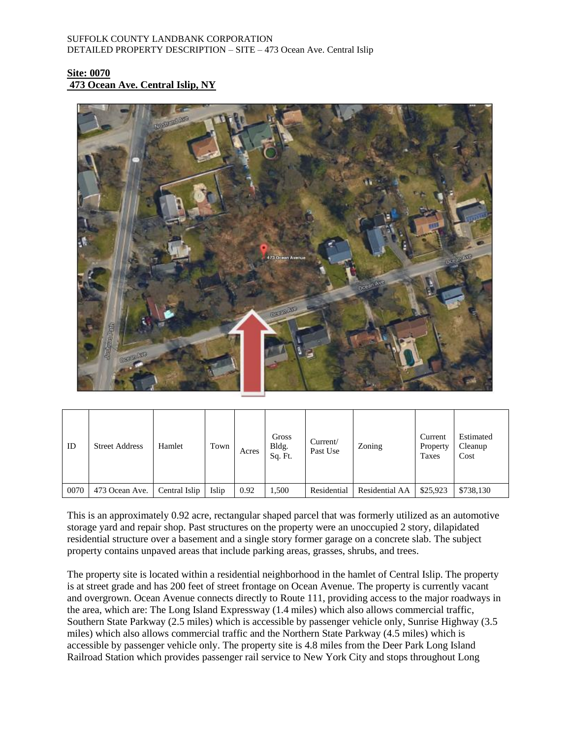# **Site: 0070 473 Ocean Ave. Central Islip, NY**



| ID   | <b>Street Address</b> | Hamlet        | Town  | Acres | Gross<br>Bldg.<br>Sq. Ft. | Current/<br>Past Use | Zoning         | Current<br>Property<br>Taxes | Estimated<br>Cleanup<br>Cost |
|------|-----------------------|---------------|-------|-------|---------------------------|----------------------|----------------|------------------------------|------------------------------|
| 0070 | 473 Ocean Ave.        | Central Islip | Islip | 0.92  | 1,500                     | Residential          | Residential AA | \$25,923                     | \$738,130                    |

This is an approximately 0.92 acre, rectangular shaped parcel that was formerly utilized as an automotive storage yard and repair shop. Past structures on the property were an unoccupied 2 story, dilapidated residential structure over a basement and a single story former garage on a concrete slab. The subject property contains unpaved areas that include parking areas, grasses, shrubs, and trees.

The property site is located within a residential neighborhood in the hamlet of Central Islip. The property is at street grade and has 200 feet of street frontage on Ocean Avenue. The property is currently vacant and overgrown. Ocean Avenue connects directly to Route 111, providing access to the major roadways in the area, which are: The Long Island Expressway (1.4 miles) which also allows commercial traffic, Southern State Parkway (2.5 miles) which is accessible by passenger vehicle only, Sunrise Highway (3.5 miles) which also allows commercial traffic and the Northern State Parkway (4.5 miles) which is accessible by passenger vehicle only. The property site is 4.8 miles from the Deer Park Long Island Railroad Station which provides passenger rail service to New York City and stops throughout Long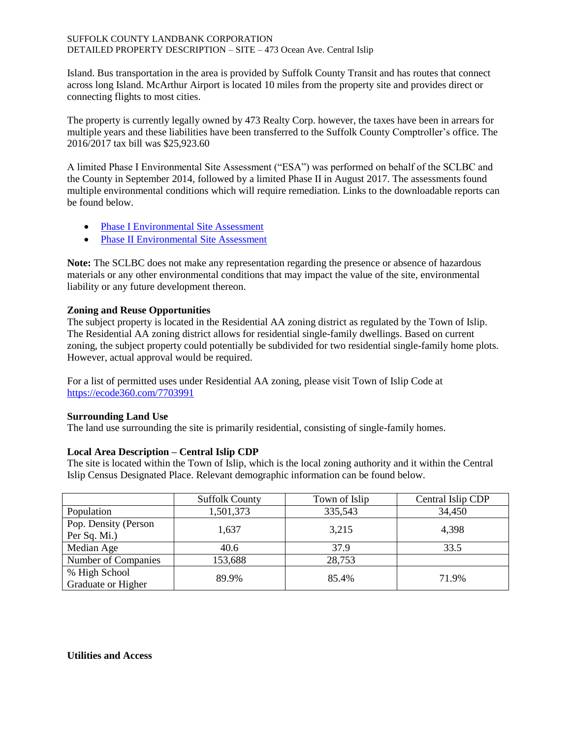Island. Bus transportation in the area is provided by Suffolk County Transit and has routes that connect across long Island. McArthur Airport is located 10 miles from the property site and provides direct or connecting flights to most cities.

The property is currently legally owned by 473 Realty Corp. however, the taxes have been in arrears for multiple years and these liabilities have been transferred to the Suffolk County Comptroller's office. The 2016/2017 tax bill was \$25,923.60

A limited Phase I Environmental Site Assessment ("ESA") was performed on behalf of the SCLBC and the County in September 2014, followed by a limited Phase II in August 2017. The assessments found multiple environmental conditions which will require remediation. Links to the downloadable reports can be found below.

- Phase I [Environmental Site Assessment](https://www.dropbox.com/s/ixg0uanxb5vuivt/Phase%201%20-%20473%20Ocean%20Ave.%2C%20Central%20Islip%20%2014-29752.pdf?dl=0)
- [Phase II Environmental Site Assessment](https://www.dropbox.com/s/jrc1hj18t0oj5u1/Phase%20II%20-%20473%20Ocean%20Ave.%2C%20Central%20Islip%20%2017-37394.pdf?dl=0)

**Note:** The SCLBC does not make any representation regarding the presence or absence of hazardous materials or any other environmental conditions that may impact the value of the site, environmental liability or any future development thereon.

# **Zoning and Reuse Opportunities**

The subject property is located in the Residential AA zoning district as regulated by the Town of Islip. The Residential AA zoning district allows for residential single-family dwellings. Based on current zoning, the subject property could potentially be subdivided for two residential single-family home plots. However, actual approval would be required.

For a list of permitted uses under Residential AA zoning, please visit Town of Islip Code at <https://ecode360.com/7703991>

## **Surrounding Land Use**

The land use surrounding the site is primarily residential, consisting of single-family homes.

## **Local Area Description – Central Islip CDP**

The site is located within the Town of Islip, which is the local zoning authority and it within the Central Islip Census Designated Place. Relevant demographic information can be found below.

|                                      | <b>Suffolk County</b> | Town of Islip | Central Islip CDP |
|--------------------------------------|-----------------------|---------------|-------------------|
| Population                           | 1,501,373             | 335,543       | 34,450            |
| Pop. Density (Person<br>Per Sq. Mi.) | 1,637                 | 3,215         | 4,398             |
| Median Age                           | 40.6                  | 37.9          | 33.5              |
| Number of Companies                  | 153,688               | 28,753        |                   |
| % High School<br>Graduate or Higher  | 89.9%                 | 85.4%         | 71.9%             |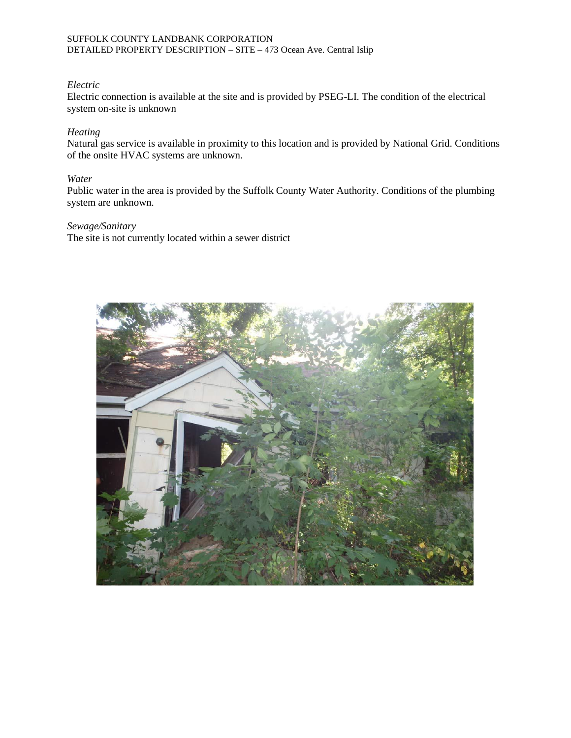## *Electric*

Electric connection is available at the site and is provided by PSEG-LI. The condition of the electrical system on-site is unknown

## *Heating*

Natural gas service is available in proximity to this location and is provided by National Grid. Conditions of the onsite HVAC systems are unknown.

## *Water*

Public water in the area is provided by the Suffolk County Water Authority. Conditions of the plumbing system are unknown.

## *Sewage/Sanitary*

The site is not currently located within a sewer district